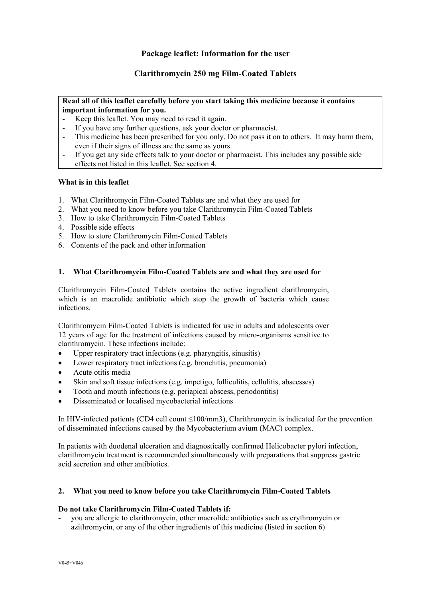# **Package leaflet: Information for the user**

# **Clarithromycin 250 mg Film-Coated Tablets**

## **Read all of this leaflet carefully before you start taking this medicine because it contains important information for you.**

- Keep this leaflet. You may need to read it again.
- If you have any further questions, ask your doctor or pharmacist.
- This medicine has been prescribed for you only. Do not pass it on to others. It may harm them, even if their signs of illness are the same as yours.
- If you get any side effects talk to your doctor or pharmacist. This includes any possible side effects not listed in this leaflet. See section 4.

## **What is in this leaflet**

- 1. What Clarithromycin Film-Coated Tablets are and what they are used for
- 2. What you need to know before you take Clarithromycin Film-Coated Tablets
- 3. How to take Clarithromycin Film-Coated Tablets
- 4. Possible side effects
- 5. How to store Clarithromycin Film-Coated Tablets
- 6. Contents of the pack and other information

### **1. What Clarithromycin Film-Coated Tablets are and what they are used for**

Clarithromycin Film-Coated Tablets contains the active ingredient clarithromycin, which is an macrolide antibiotic which stop the growth of bacteria which cause infections.

Clarithromycin Film-Coated Tablets is indicated for use in adults and adolescents over 12 years of age for the treatment of infections caused by micro-organisms sensitive to clarithromycin. These infections include:

- Upper respiratory tract infections (e.g. pharyngitis, sinusitis)
- Lower respiratory tract infections (e.g. bronchitis, pneumonia)
- Acute otitis media
- Skin and soft tissue infections (e.g. impetigo, folliculitis, cellulitis, abscesses)
- Tooth and mouth infections (e.g. periapical abscess, periodontitis)
- Disseminated or localised mycobacterial infections

In HIV-infected patients (CD4 cell count ≤100/mm3), Clarithromycin is indicated for the prevention of disseminated infections caused by the Mycobacterium avium (MAC) complex.

In patients with duodenal ulceration and diagnostically confirmed Helicobacter pylori infection, clarithromycin treatment is recommended simultaneously with preparations that suppress gastric acid secretion and other antibiotics.

## **2. What you need to know before you take Clarithromycin Film-Coated Tablets**

#### **Do not take Clarithromycin Film-Coated Tablets if:**

- you are allergic to clarithromycin, other macrolide antibiotics such as erythromycin or azithromycin, or any of the other ingredients of this medicine (listed in section 6)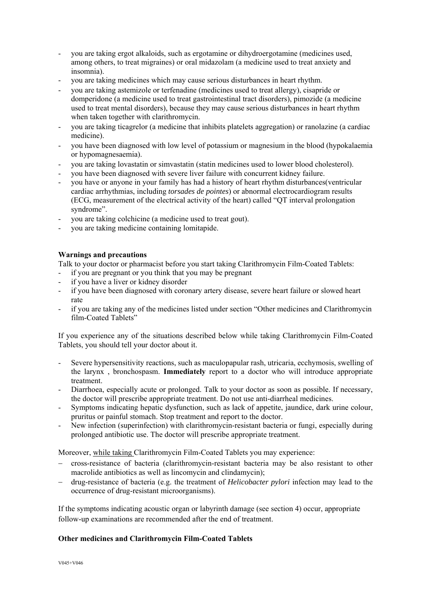- you are taking ergot alkaloids, such as ergotamine or dihydroergotamine (medicines used, among others, to treat migraines) or oral midazolam (a medicine used to treat anxiety and insomnia).
- you are taking medicines which may cause serious disturbances in heart rhythm.
- you are taking astemizole or terfenadine (medicines used to treat allergy), cisapride or domperidone (a medicine used to treat gastrointestinal tract disorders), pimozide (a medicine used to treat mental disorders), because they may cause serious disturbances in heart rhythm when taken together with clarithromycin.
- you are taking ticagrelor (a medicine that inhibits platelets aggregation) or ranolazine (a cardiac medicine).
- you have been diagnosed with low level of potassium or magnesium in the blood (hypokalaemia or hypomagnesaemia).
- you are taking lovastatin or simvastatin (statin medicines used to lower blood cholesterol).
- you have been diagnosed with severe liver failure with concurrent kidney failure.
- you have or anyone in your family has had a history of heart rhythm disturbances(ventricular cardiac arrhythmias, including *torsades de pointes*) or abnormal electrocardiogram results (ECG, measurement of the electrical activity of the heart) called "QT interval prolongation syndrome".
- you are taking colchicine (a medicine used to treat gout).
- you are taking medicine containing lomitapide.

## **Warnings and precautions**

Talk to your doctor or pharmacist before you start taking Clarithromycin Film-Coated Tablets:

- if you are pregnant or you think that you may be pregnant
- if you have a liver or kidney disorder
- if you have been diagnosed with coronary artery disease, severe heart failure or slowed heart rate
- if you are taking any of the medicines listed under section "Other medicines and Clarithromycin film-Coated Tablets"

If you experience any of the situations described below while taking Clarithromycin Film-Coated Tablets, you should tell your doctor about it.

- Severe hypersensitivity reactions, such as maculopapular rash, utricaria, ecchymosis, swelling of the larynx , bronchospasm. **Immediately** report to a doctor who will introduce appropriate treatment.
- Diarrhoea, especially acute or prolonged. Talk to your doctor as soon as possible. If necessary, the doctor will prescribe appropriate treatment. Do not use anti-diarrheal medicines.
- Symptoms indicating hepatic dysfunction, such as lack of appetite, jaundice, dark urine colour, pruritus or painful stomach. Stop treatment and report to the doctor.
- New infection (superinfection) with clarithromycin-resistant bacteria or fungi, especially during prolonged antibiotic use. The doctor will prescribe appropriate treatment.

Moreover, while taking Clarithromycin Film-Coated Tablets you may experience:

- cross-resistance of bacteria (clarithromycin-resistant bacteria may be also resistant to other macrolide antibiotics as well as lincomycin and clindamycin);
- drug-resistance of bacteria (e.g. the treatment of *Helicobacter pylori* infection may lead to the occurrence of drug-resistant microorganisms).

If the symptoms indicating acoustic organ or labyrinth damage (see section 4) occur, appropriate follow-up examinations are recommended after the end of treatment.

## **Other medicines and Clarithromycin Film-Coated Tablets**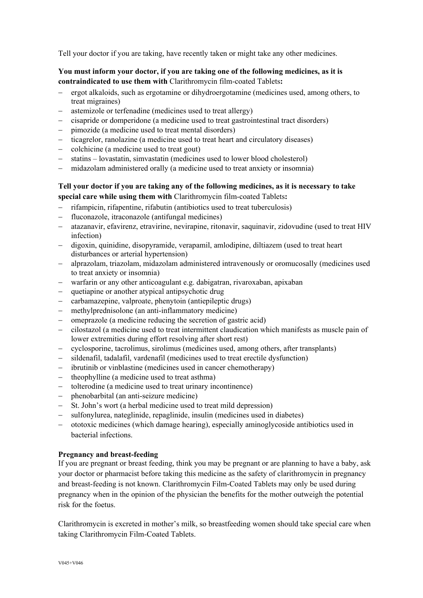Tell your doctor if you are taking, have recently taken or might take any other medicines.

# **You must inform your doctor, if you are taking one of the following medicines, as it is contraindicated to use them with** Clarithromycin film-coated Tablets**:**

- ergot alkaloids, such as ergotamine or dihydroergotamine (medicines used, among others, to treat migraines)
- astemizole or terfenadine (medicines used to treat allergy)
- cisapride or domperidone (a medicine used to treat gastrointestinal tract disorders)
- pimozide (a medicine used to treat mental disorders)
- ticagrelor, ranolazine (a medicine used to treat heart and circulatory diseases)
- colchicine (a medicine used to treat gout)
- statins lovastatin, simvastatin (medicines used to lower blood cholesterol)
- midazolam administered orally (a medicine used to treat anxiety or insomnia)

## **Tell your doctor if you are taking any of the following medicines, as it is necessary to take special care while using them with** Clarithromycin film-coated Tablets**:**

- rifampicin, rifapentine, rifabutin (antibiotics used to treat tuberculosis)
- fluconazole, itraconazole (antifungal medicines)
- atazanavir, efavirenz, etravirine, nevirapine, ritonavir, saquinavir, zidovudine (used to treat HIV infection)
- digoxin, quinidine, disopyramide, verapamil, amlodipine, diltiazem (used to treat heart disturbances or arterial hypertension)
- alprazolam, triazolam, midazolam administered intravenously or oromucosally (medicines used to treat anxiety or insomnia)
- warfarin or any other anticoagulant e.g. dabigatran, rivaroxaban, apixaban
- quetiapine or another atypical antipsychotic drug
- carbamazepine, valproate, phenytoin (antiepileptic drugs)
- methylprednisolone (an anti-inflammatory medicine)
- omeprazole (a medicine reducing the secretion of gastric acid)
- cilostazol (a medicine used to treat intermittent claudication which manifests as muscle pain of lower extremities during effort resolving after short rest)
- cyclosporine, tacrolimus, sirolimus (medicines used, among others, after transplants)
- sildenafil, tadalafil, vardenafil (medicines used to treat erectile dysfunction)
- ibrutinib or vinblastine (medicines used in cancer chemotherapy)
- $-$  theophylline (a medicine used to treat asthma)
- tolterodine (a medicine used to treat urinary incontinence)
- phenobarbital (an anti-seizure medicine)
- St. John's wort (a herbal medicine used to treat mild depression)
- sulfonylurea, nateglinide, repaglinide, insulin (medicines used in diabetes)
- ototoxic medicines (which damage hearing), especially aminoglycoside antibiotics used in bacterial infections.

## **Pregnancy and breast-feeding**

If you are pregnant or breast feeding, think you may be pregnant or are planning to have a baby, ask your doctor or pharmacist before taking this medicine as the safety of clarithromycin in pregnancy and breast-feeding is not known. Clarithromycin Film-Coated Tablets may only be used during pregnancy when in the opinion of the physician the benefits for the mother outweigh the potential risk for the foetus.

Clarithromycin is excreted in mother's milk, so breastfeeding women should take special care when taking Clarithromycin Film-Coated Tablets.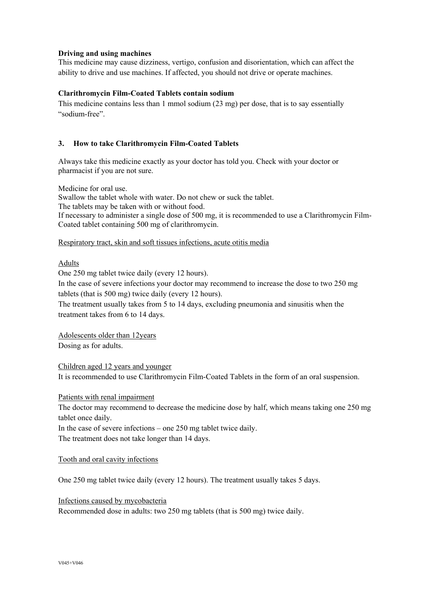### **Driving and using machines**

This medicine may cause dizziness, vertigo, confusion and disorientation, which can affect the ability to drive and use machines. If affected, you should not drive or operate machines.

#### **Clarithromycin Film-Coated Tablets contain sodium**

This medicine contains less than 1 mmol sodium (23 mg) per dose, that is to say essentially "sodium-free".

### **3. How to take Clarithromycin Film-Coated Tablets**

Always take this medicine exactly as your doctor has told you. Check with your doctor or pharmacist if you are not sure.

Medicine for oral use.

Swallow the tablet whole with water. Do not chew or suck the tablet. The tablets may be taken with or without food.

If necessary to administer a single dose of 500 mg, it is recommended to use a Clarithromycin Film-Coated tablet containing 500 mg of clarithromycin.

#### Respiratory tract, skin and soft tissues infections, acute otitis media

## Adults

One 250 mg tablet twice daily (every 12 hours).

In the case of severe infections your doctor may recommend to increase the dose to two 250 mg tablets (that is 500 mg) twice daily (every 12 hours).

The treatment usually takes from 5 to 14 days, excluding pneumonia and sinusitis when the treatment takes from 6 to 14 days.

Adolescents older than 12years Dosing as for adults.

Children aged 12 years and younger It is recommended to use Clarithromycin Film-Coated Tablets in the form of an oral suspension.

#### Patients with renal impairment

The doctor may recommend to decrease the medicine dose by half, which means taking one 250 mg tablet once daily.

In the case of severe infections – one 250 mg tablet twice daily. The treatment does not take longer than 14 days.

#### Tooth and oral cavity infections

One 250 mg tablet twice daily (every 12 hours). The treatment usually takes 5 days.

Infections caused by mycobacteria

Recommended dose in adults: two 250 mg tablets (that is 500 mg) twice daily.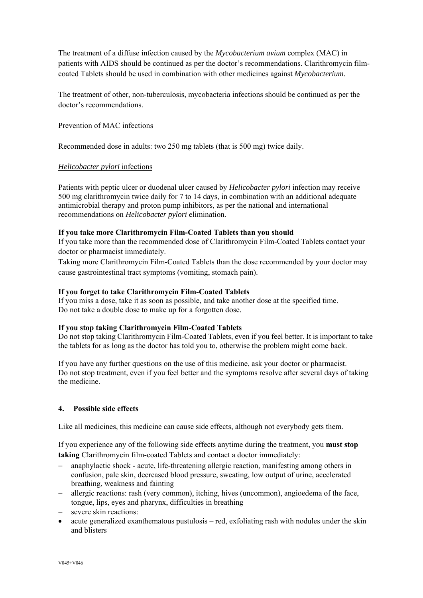The treatment of a diffuse infection caused by the *Mycobacterium avium* complex (MAC) in patients with AIDS should be continued as per the doctor's recommendations. Clarithromycin filmcoated Tablets should be used in combination with other medicines against *Mycobacterium*.

The treatment of other, non-tuberculosis, mycobacteria infections should be continued as per the doctor's recommendations.

## Prevention of MAC infections

Recommended dose in adults: two 250 mg tablets (that is 500 mg) twice daily.

## *Helicobacter pylori* infections

Patients with peptic ulcer or duodenal ulcer caused by *Helicobacter pylori* infection may receive 500 mg clarithromycin twice daily for 7 to 14 days, in combination with an additional adequate antimicrobial therapy and proton pump inhibitors, as per the national and international recommendations on *Helicobacter pylori* elimination.

## **If you take more Clarithromycin Film-Coated Tablets than you should**

If you take more than the recommended dose of Clarithromycin Film-Coated Tablets contact your doctor or pharmacist immediately.

Taking more Clarithromycin Film-Coated Tablets than the dose recommended by your doctor may cause gastrointestinal tract symptoms (vomiting, stomach pain).

## **If you forget to take Clarithromycin Film-Coated Tablets**

If you miss a dose, take it as soon as possible, and take another dose at the specified time. Do not take a double dose to make up for a forgotten dose.

# **If you stop taking Clarithromycin Film-Coated Tablets**

Do not stop taking Clarithromycin Film-Coated Tablets, even if you feel better. It is important to take the tablets for as long as the doctor has told you to, otherwise the problem might come back.

If you have any further questions on the use of this medicine, ask your doctor or pharmacist. Do not stop treatment, even if you feel better and the symptoms resolve after several days of taking the medicine.

# **4. Possible side effects**

Like all medicines, this medicine can cause side effects, although not everybody gets them.

If you experience any of the following side effects anytime during the treatment, you **must stop taking** Clarithromycin film-coated Tablets and contact a doctor immediately:

- anaphylactic shock acute, life-threatening allergic reaction, manifesting among others in confusion, pale skin, decreased blood pressure, sweating, low output of urine, accelerated breathing, weakness and fainting
- allergic reactions: rash (very common), itching, hives (uncommon), angioedema of the face, tongue, lips, eyes and pharynx, difficulties in breathing
- severe skin reactions:
- acute generalized exanthematous pustulosis red, exfoliating rash with nodules under the skin and blisters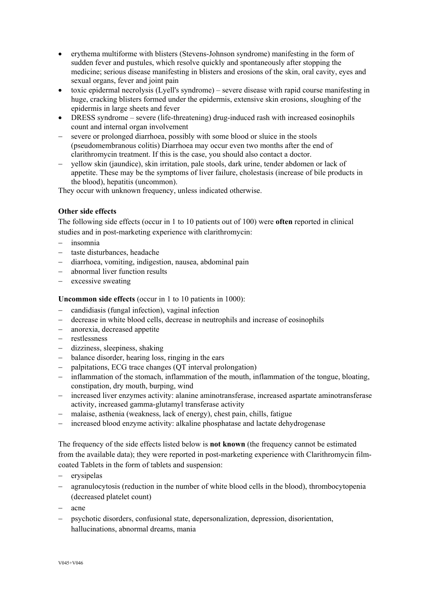- erythema multiforme with blisters (Stevens-Johnson syndrome) manifesting in the form of sudden fever and pustules, which resolve quickly and spontaneously after stopping the medicine; serious disease manifesting in blisters and erosions of the skin, oral cavity, eyes and sexual organs, fever and joint pain
- toxic epidermal necrolysis (Lyell's syndrome) severe disease with rapid course manifesting in huge, cracking blisters formed under the epidermis, extensive skin erosions, sloughing of the epidermis in large sheets and fever
- DRESS syndrome severe (life-threatening) drug-induced rash with increased eosinophils count and internal organ involvement
- severe or prolonged diarrhoea, possibly with some blood or sluice in the stools (pseudomembranous colitis) Diarrhoea may occur even two months after the end of clarithromycin treatment. If this is the case, you should also contact a doctor.
- yellow skin (jaundice), skin irritation, pale stools, dark urine, tender abdomen or lack of appetite. These may be the symptoms of liver failure, cholestasis (increase of bile products in the blood), hepatitis (uncommon).

They occur with unknown frequency, unless indicated otherwise.

# **Other side effects**

The following side effects (occur in 1 to 10 patients out of 100) were **often** reported in clinical studies and in post-marketing experience with clarithromycin:

- insomnia
- taste disturbances, headache
- diarrhoea, vomiting, indigestion, nausea, abdominal pain
- abnormal liver function results
- excessive sweating

**Uncommon side effects** (occur in 1 to 10 patients in 1000):

- candidiasis (fungal infection), vaginal infection
- decrease in white blood cells, decrease in neutrophils and increase of eosinophils
- anorexia, decreased appetite
- restlessness
- dizziness, sleepiness, shaking
- balance disorder, hearing loss, ringing in the ears
- palpitations, ECG trace changes (QT interval prolongation)
- inflammation of the stomach, inflammation of the mouth, inflammation of the tongue, bloating, constipation, dry mouth, burping, wind
- increased liver enzymes activity: alanine aminotransferase, increased aspartate aminotransferase activity, increased gamma-glutamyl transferase activity
- malaise, asthenia (weakness, lack of energy), chest pain, chills, fatigue
- increased blood enzyme activity: alkaline phosphatase and lactate dehydrogenase

The frequency of the side effects listed below is **not known** (the frequency cannot be estimated from the available data); they were reported in post-marketing experience with Clarithromycin filmcoated Tablets in the form of tablets and suspension:

- erysipelas
- agranulocytosis (reduction in the number of white blood cells in the blood), thrombocytopenia (decreased platelet count)
- acne
- psychotic disorders, confusional state, depersonalization, depression, disorientation, hallucinations, abnormal dreams, mania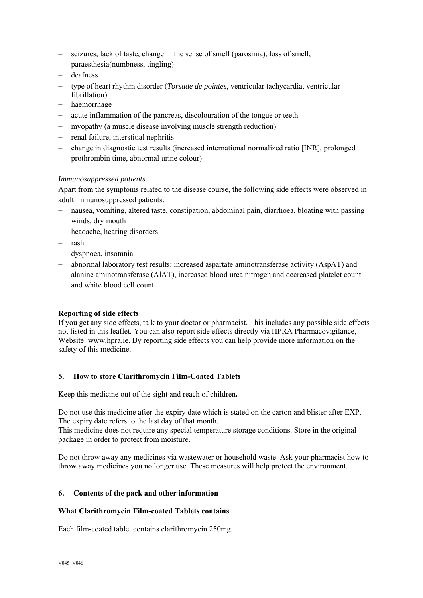- seizures, lack of taste, change in the sense of smell (parosmia), loss of smell, paraesthesia(numbness, tingling)
- deafness
- type of heart rhythm disorder (*Torsade de pointes*, ventricular tachycardia, ventricular fibrillation)
- haemorrhage
- acute inflammation of the pancreas, discolouration of the tongue or teeth
- myopathy (a muscle disease involving muscle strength reduction)
- renal failure, interstitial nephritis
- change in diagnostic test results (increased international normalized ratio [INR], prolonged prothrombin time, abnormal urine colour)

## *Immunosuppressed patients*

Apart from the symptoms related to the disease course, the following side effects were observed in adult immunosuppressed patients:

- nausea, vomiting, altered taste, constipation, abdominal pain, diarrhoea, bloating with passing winds, dry mouth
- headache, hearing disorders
- rash
- dyspnoea, insomnia
- abnormal laboratory test results: increased aspartate aminotransferase activity (AspAT) and alanine aminotransferase (AlAT), increased blood urea nitrogen and decreased platelet count and white blood cell count

## **Reporting of side effects**

If you get any side effects, talk to your doctor or pharmacist. This includes any possible side effects not listed in this leaflet. You can also report side effects directly via HPRA Pharmacovigilance, Website: www.hpra.ie. By reporting side effects you can help provide more information on the safety of this medicine.

## **5. How to store Clarithromycin Film-Coated Tablets**

Keep this medicine out of the sight and reach of children**.** 

Do not use this medicine after the expiry date which is stated on the carton and blister after EXP. The expiry date refers to the last day of that month.

This medicine does not require any special temperature storage conditions. Store in the original package in order to protect from moisture.

Do not throw away any medicines via wastewater or household waste. Ask your pharmacist how to throw away medicines you no longer use. These measures will help protect the environment.

## **6. Contents of the pack and other information**

## **What Clarithromycin Film-coated Tablets contains**

Each film-coated tablet contains clarithromycin 250mg.